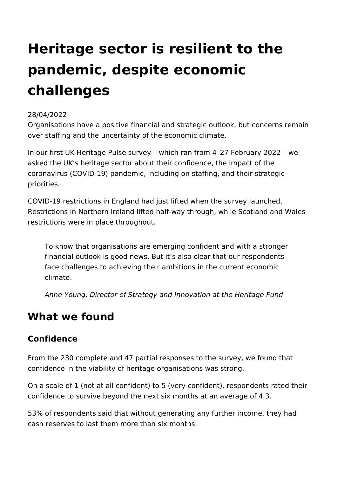# **Heritage sector is resilient to the pandemic, despite economic challenges**

## 28/04/2022

Organisations have a positive financial and strategic outlook, but concerns remain over staffing and the uncertainty of the economic climate.

In our first UK Heritage Pulse survey – which ran from 4–27 February 2022 – we asked the UK's heritage sector about their confidence, the impact of the coronavirus (COVID-19) pandemic, including on staffing, and their strategic priorities.

COVID-19 restrictions in England had just lifted when the survey launched. Restrictions in Northern Ireland lifted half-way through, while Scotland and Wales restrictions were in place throughout.

To know that organisations are emerging confident and with a stronger financial outlook is good news. But it's also clear that our respondents face challenges to achieving their ambitions in the current economic climate.

*Anne Young, Director of Strategy and Innovation at the Heritage Fund*

# **What we found**

# **Confidence**

From the 230 complete and 47 partial responses to the survey, we found that confidence in the viability of heritage organisations was strong.

On a scale of 1 (not at all confident) to 5 (very confident), respondents rated their confidence to survive beyond the next six months at an average of 4.3.

53% of respondents said that without generating any further income, they had cash reserves to last them more than six months.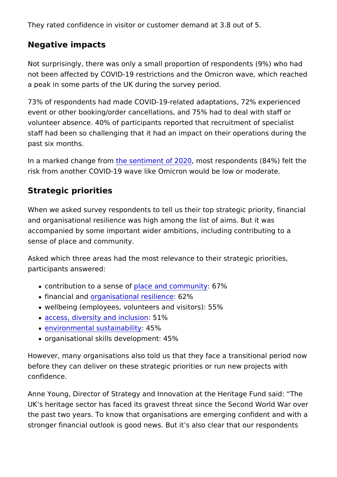They rated confidence in visitor or customer demand at 3.8 out

Negative impacts

Not surprisingly, there was only a small proportion of responde not been affected by COVID-19 restrictions and the Omicron wa a peak in some parts of the UK during the survey period.

73% of respondents had made COVID-19-related adaptations, 72 event or other booking/order cancellations, and 75% had to dea volunteer absence. 40% of participants reported that recruitmer staff had been so challenging that it had an impact on their ope past six months.

In a marked changeherosmentiment of  $2002$ s $\alpha$  respondents (84%) felt risk from another COVID-19 wave like Omicron would be low or

Strategic priorities

When we asked survey respondents to tell us their top strategic and organisational resilience was high among the list of aims. I accompanied by some important wider ambitions, including cont sense of place and community.

Asked which three areas had the most relevance to their strated participants answered:

- $\bullet$  contribution to a sphase ee offered community  $\frac{1}{2}$
- financial anglanisational resibi<sup>2</sup> % ce
- wellbeing (employees, volunteers and visitors): 55%
- [access, diversity and](https://www.heritagefund.org.uk/about/our-commitment-equality-diversity-and-inclusion) in5dl%sion
- [environmental susta](https://www.heritagefund.org.uk/about/climate-change)in455% ity
- organisational skills development: 45%

However, many organisations also told us that they face a trans before they can deliver on these strategic priorities or run new confidence.

Anne Young, Director of Strategy and Innovation at the Heritage UK s heritage sector has faced its gravest threat since the Sec the past two years. To know that organisations are emerging co stronger financial outlook is good news. But it s also clear that